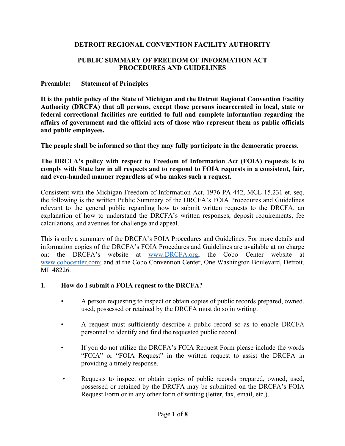### **DETROIT REGIONAL CONVENTION FACILITY AUTHORITY**

### **PUBLIC SUMMARY OF FREEDOM OF INFORMATION ACT PROCEDURES AND GUIDELINES**

#### **Preamble: Statement of Principles**

**It is the public policy of the State of Michigan and the Detroit Regional Convention Facility Authority (DRCFA) that all persons, except those persons incarcerated in local, state or federal correctional facilities are entitled to full and complete information regarding the affairs of government and the official acts of those who represent them as public officials and public employees.** 

**The people shall be informed so that they may fully participate in the democratic process.**

**The DRCFA's policy with respect to Freedom of Information Act (FOIA) requests is to comply with State law in all respects and to respond to FOIA requests in a consistent, fair, and even-handed manner regardless of who makes such a request.**

Consistent with the Michigan Freedom of Information Act, 1976 PA 442, MCL 15.231 et. seq. the following is the written Public Summary of the DRCFA's FOIA Procedures and Guidelines relevant to the general public regarding how to submit written requests to the DRCFA, an explanation of how to understand the DRCFA's written responses, deposit requirements, fee calculations, and avenues for challenge and appeal.

This is only a summary of the DRCFA's FOIA Procedures and Guidelines. For more details and information copies of the DRCFA's FOIA Procedures and Guidelines are available at no charge on: the DRCFA's website at www.DRCFA.org; the Cobo Center website at www.cobocenter.com; and at the Cobo Convention Center, One Washington Boulevard, Detroit, MI 48226.

### **1. How do I submit a FOIA request to the DRCFA?**

- A person requesting to inspect or obtain copies of public records prepared, owned, used, possessed or retained by the DRCFA must do so in writing.
- A request must sufficiently describe a public record so as to enable DRCFA personnel to identify and find the requested public record.
- If you do not utilize the DRCFA's FOIA Request Form please include the words "FOIA" or "FOIA Request" in the written request to assist the DRCFA in providing a timely response.
- Requests to inspect or obtain copies of public records prepared, owned, used, possessed or retained by the DRCFA may be submitted on the DRCFA's FOIA Request Form or in any other form of writing (letter, fax, email, etc.).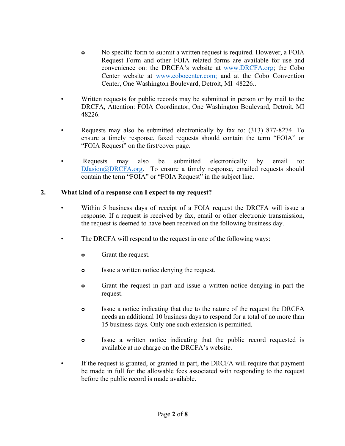- No specific form to submit a written request is required. However, a FOIA Request Form and other FOIA related forms are available for use and convenience on: the DRCFA's website at www.DRCFA.org; the Cobo Center website at www.cobocenter.com; and at the Cobo Convention Center, One Washington Boulevard, Detroit, MI 48226..
- Written requests for public records may be submitted in person or by mail to the DRCFA, Attention: FOIA Coordinator, One Washington Boulevard, Detroit, MI 48226.
- Requests may also be submitted electronically by fax to: (313) 877-8274. To ensure a timely response, faxed requests should contain the term "FOIA" or "FOIA Request" on the first/cover page.
- Requests may also be submitted electronically by email to: DJasion@DRCFA.org. To ensure a timely response, emailed requests should contain the term "FOIA" or "FOIA Request" in the subject line.

# **2. What kind of a response can I expect to my request?**

- Within 5 business days of receipt of a FOIA request the DRCFA will issue a response. If a request is received by fax, email or other electronic transmission, the request is deemed to have been received on the following business day.
- The DRCFA will respond to the request in one of the following ways:
	- $\circ$  Grant the request.
	- $\circ$  Issue a written notice denying the request.
	- $\circ$  Grant the request in part and issue a written notice denying in part the request.
	- $\circ$  Issue a notice indicating that due to the nature of the request the DRCFA needs an additional 10 business days to respond for a total of no more than 15 business days. Only one such extension is permitted.
	- $\circ$  Issue a written notice indicating that the public record requested is available at no charge on the DRCFA's website.
- If the request is granted, or granted in part, the DRCFA will require that payment be made in full for the allowable fees associated with responding to the request before the public record is made available.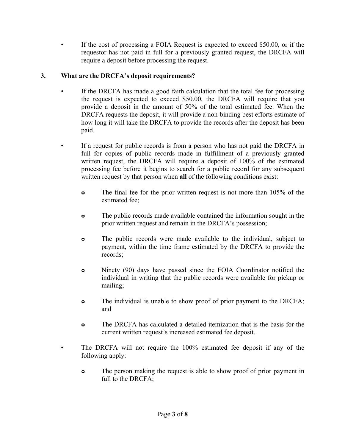If the cost of processing a FOIA Request is expected to exceed \$50.00, or if the requestor has not paid in full for a previously granted request, the DRCFA will require a deposit before processing the request.

## **3. What are the DRCFA's deposit requirements?**

- If the DRCFA has made a good faith calculation that the total fee for processing the request is expected to exceed \$50.00, the DRCFA will require that you provide a deposit in the amount of 50% of the total estimated fee. When the DRCFA requests the deposit, it will provide a non-binding best efforts estimate of how long it will take the DRCFA to provide the records after the deposit has been paid.
- If a request for public records is from a person who has not paid the DRCFA in full for copies of public records made in fulfillment of a previously granted written request, the DRCFA will require a deposit of 100% of the estimated processing fee before it begins to search for a public record for any subsequent written request by that person when **all** of the following conditions exist:
	- The final fee for the prior written request is not more than 105% of the estimated fee;
	- $\circ$  The public records made available contained the information sought in the prior written request and remain in the DRCFA's possession;
	- **ᴑ** The public records were made available to the individual, subject to payment, within the time frame estimated by the DRCFA to provide the records;
	- $\bullet$  Ninety (90) days have passed since the FOIA Coordinator notified the individual in writing that the public records were available for pickup or mailing;
	- $\circ$  The individual is unable to show proof of prior payment to the DRCFA; and
	- **ᴑ** The DRCFA has calculated a detailed itemization that is the basis for the current written request's increased estimated fee deposit.
- The DRCFA will not require the 100% estimated fee deposit if any of the following apply:
	- The person making the request is able to show proof of prior payment in full to the DRCFA;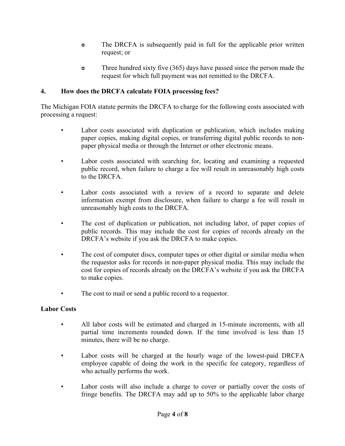- The DRCFA is subsequently paid in full for the applicable prior written request; or
- Three hundred sixty five (365) days have passed since the person made the request for which full payment was not remitted to the DRCFA.

## **4. How does the DRCFA calculate FOIA processing fees?**

The Michigan FOIA statute permits the DRCFA to charge for the following costs associated with processing a request:

- Labor costs associated with duplication or publication, which includes making paper copies, making digital copies, or transferring digital public records to nonpaper physical media or through the Internet or other electronic means.
- Labor costs associated with searching for, locating and examining a requested public record, when failure to charge a fee will result in unreasonably high costs to the DRCFA.
- Labor costs associated with a review of a record to separate and delete information exempt from disclosure, when failure to charge a fee will result in unreasonably high costs to the DRCFA.
- The cost of duplication or publication, not including labor, of paper copies of public records. This may include the cost for copies of records already on the DRCFA's website if you ask the DRCFA to make copies.
- The cost of computer discs, computer tapes or other digital or similar media when the requestor asks for records in non-paper physical media. This may include the cost for copies of records already on the DRCFA's website if you ask the DRCFA to make copies.
- The cost to mail or send a public record to a requestor.

## **Labor Costs**

- All labor costs will be estimated and charged in 15-minute increments, with all partial time increments rounded down. If the time involved is less than 15 minutes, there will be no charge.
- Labor costs will be charged at the hourly wage of the lowest-paid DRCFA employee capable of doing the work in the specific fee category, regardless of who actually performs the work.
- Labor costs will also include a charge to cover or partially cover the costs of fringe benefits. The DRCFA may add up to 50% to the applicable labor charge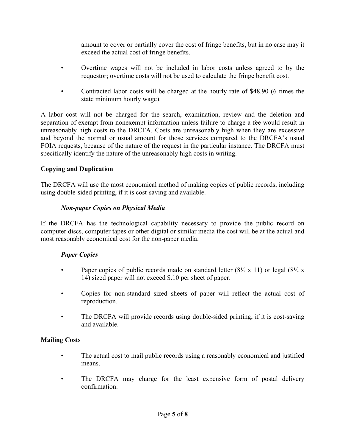amount to cover or partially cover the cost of fringe benefits, but in no case may it exceed the actual cost of fringe benefits.

- Overtime wages will not be included in labor costs unless agreed to by the requestor; overtime costs will not be used to calculate the fringe benefit cost.
- Contracted labor costs will be charged at the hourly rate of \$48.90 (6 times the state minimum hourly wage).

A labor cost will not be charged for the search, examination, review and the deletion and separation of exempt from nonexempt information unless failure to charge a fee would result in unreasonably high costs to the DRCFA. Costs are unreasonably high when they are excessive and beyond the normal or usual amount for those services compared to the DRCFA's usual FOIA requests, because of the nature of the request in the particular instance. The DRCFA must specifically identify the nature of the unreasonably high costs in writing.

## **Copying and Duplication**

The DRCFA will use the most economical method of making copies of public records, including using double-sided printing, if it is cost-saving and available.

### *Non-paper Copies on Physical Media*

If the DRCFA has the technological capability necessary to provide the public record on computer discs, computer tapes or other digital or similar media the cost will be at the actual and most reasonably economical cost for the non-paper media.

## *Paper Copies*

- Paper copies of public records made on standard letter  $(8\frac{1}{2} \times 11)$  or legal  $(8\frac{1}{2} \times$ 14) sized paper will not exceed \$.10 per sheet of paper.
- Copies for non-standard sized sheets of paper will reflect the actual cost of reproduction.
- The DRCFA will provide records using double-sided printing, if it is cost-saving and available.

## **Mailing Costs**

- The actual cost to mail public records using a reasonably economical and justified means.
- The DRCFA may charge for the least expensive form of postal delivery confirmation.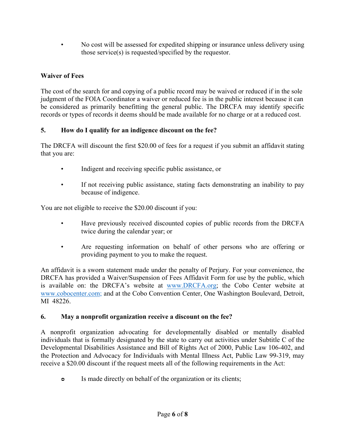• No cost will be assessed for expedited shipping or insurance unless delivery using those service(s) is requested/specified by the requestor.

# **Waiver of Fees**

The cost of the search for and copying of a public record may be waived or reduced if in the sole judgment of the FOIA Coordinator a waiver or reduced fee is in the public interest because it can be considered as primarily benefitting the general public. The DRCFA may identify specific records or types of records it deems should be made available for no charge or at a reduced cost.

# **5. How do I qualify for an indigence discount on the fee?**

The DRCFA will discount the first \$20.00 of fees for a request if you submit an affidavit stating that you are:

- Indigent and receiving specific public assistance, or
- If not receiving public assistance, stating facts demonstrating an inability to pay because of indigence.

You are not eligible to receive the \$20.00 discount if you:

- Have previously received discounted copies of public records from the DRCFA twice during the calendar year; or
- Are requesting information on behalf of other persons who are offering or providing payment to you to make the request.

An affidavit is a sworn statement made under the penalty of Perjury. For your convenience, the DRCFA has provided a Waiver/Suspension of Fees Affidavit Form for use by the public, which is available on: the DRCFA's website at www.DRCFA.org; the Cobo Center website at www.cobocenter.com; and at the Cobo Convention Center, One Washington Boulevard, Detroit, MI 48226.

## **6. May a nonprofit organization receive a discount on the fee?**

A nonprofit organization advocating for developmentally disabled or mentally disabled individuals that is formally designated by the state to carry out activities under Subtitle C of the Developmental Disabilities Assistance and Bill of Rights Act of 2000, Public Law 106-402, and the Protection and Advocacy for Individuals with Mental Illness Act, Public Law 99-319, may receive a \$20.00 discount if the request meets all of the following requirements in the Act:

 $\circ$  Is made directly on behalf of the organization or its clients;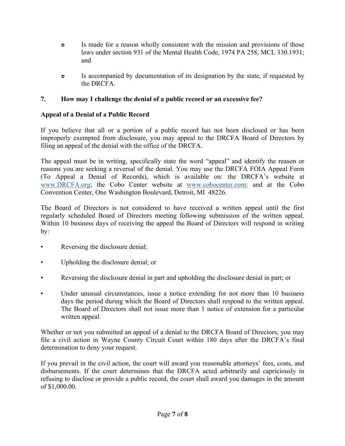- Is made for a reason wholly consistent with the mission and provisions of those laws under section 931 of the Mental Health Code, 1974 PA 258, MCL 330.1931; and
- **S** Is accompanied by documentation of its designation by the state, if requested by the DRCFA.

## **7. How may I challenge the denial of a public record or an excessive fee?**

# **Appeal of a Denial of a Public Record**

If you believe that all or a portion of a public record has not been disclosed or has been improperly exempted from disclosure, you may appeal to the DRCFA Board of Directors by filing an appeal of the denial with the office of the DRCFA.

The appeal must be in writing, specifically state the word "appeal" and identify the reason or reasons you are seeking a reversal of the denial. You may use the DRCFA FOIA Appeal Form (To Appeal a Denial of Records), which is available on: the DRCFA's website at www.DRCFA.org; the Cobo Center website at www.cobocenter.com; and at the Cobo Convention Center, One Washington Boulevard, Detroit, MI 48226.

The Board of Directors is not considered to have received a written appeal until the first regularly scheduled Board of Directors meeting following submission of the written appeal. Within 10 business days of receiving the appeal the Board of Directors will respond in writing by:

- Reversing the disclosure denial;
- Upholding the disclosure denial; or
- Reversing the disclosure denial in part and upholding the disclosure denial in part; or
- Under unusual circumstances, issue a notice extending for not more than 10 business days the period during which the Board of Directors shall respond to the written appeal. The Board of Directors shall not issue more than 1 notice of extension for a particular written appeal.

Whether or not you submitted an appeal of a denial to the DRCFA Board of Directors, you may file a civil action in Wayne County Circuit Court within 180 days after the DRCFA's final determination to deny your request.

If you prevail in the civil action, the court will award you reasonable attorneys' fees, costs, and disbursements. If the court determines that the DRCFA acted arbitrarily and capriciously in refusing to disclose or provide a public record, the court shall award you damages in the amount of \$1,000.00.